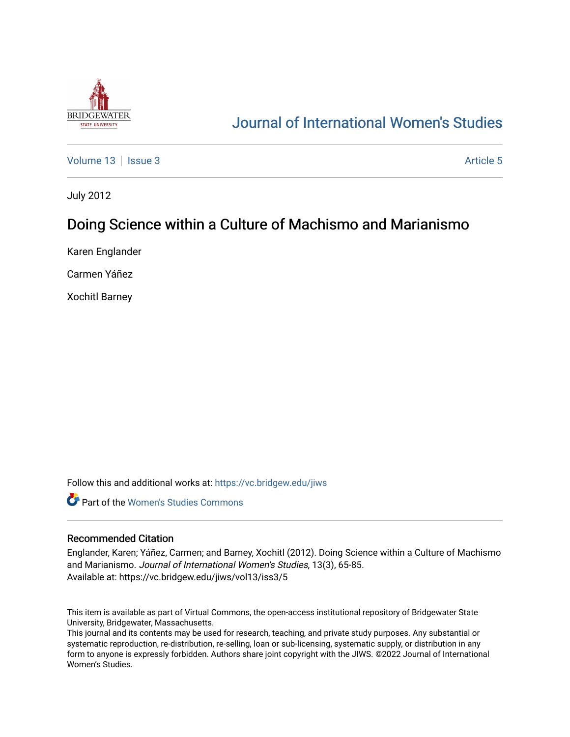

# [Journal of International Women's Studies](https://vc.bridgew.edu/jiws)

[Volume 13](https://vc.bridgew.edu/jiws/vol13) Setus 2 [Article 5](https://vc.bridgew.edu/jiws/vol13/iss3/5) Article 5

July 2012

# Doing Science within a Culture of Machismo and Marianismo

Karen Englander

Carmen Yáñez

Xochitl Barney

Follow this and additional works at: [https://vc.bridgew.edu/jiws](https://vc.bridgew.edu/jiws?utm_source=vc.bridgew.edu%2Fjiws%2Fvol13%2Fiss3%2F5&utm_medium=PDF&utm_campaign=PDFCoverPages)

**C** Part of the Women's Studies Commons

#### Recommended Citation

Englander, Karen; Yáñez, Carmen; and Barney, Xochitl (2012). Doing Science within a Culture of Machismo and Marianismo. Journal of International Women's Studies, 13(3), 65-85. Available at: https://vc.bridgew.edu/jiws/vol13/iss3/5

This item is available as part of Virtual Commons, the open-access institutional repository of Bridgewater State University, Bridgewater, Massachusetts.

This journal and its contents may be used for research, teaching, and private study purposes. Any substantial or systematic reproduction, re-distribution, re-selling, loan or sub-licensing, systematic supply, or distribution in any form to anyone is expressly forbidden. Authors share joint copyright with the JIWS. ©2022 Journal of International Women's Studies.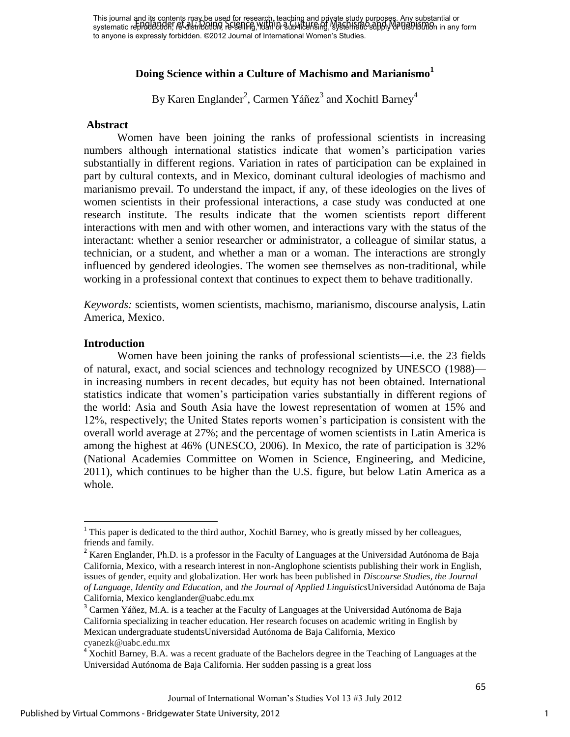# **Doing Science within a Culture of Machismo and Marianismo<sup>1</sup>**

By Karen Englander<sup>2</sup>, Carmen Yáñez $^3$  and Xochitl Barney $^4$ 

#### **Abstract**

Women have been joining the ranks of professional scientists in increasing numbers although international statistics indicate that women's participation varies substantially in different regions. Variation in rates of participation can be explained in part by cultural contexts, and in Mexico, dominant cultural ideologies of machismo and marianismo prevail. To understand the impact, if any, of these ideologies on the lives of women scientists in their professional interactions, a case study was conducted at one research institute. The results indicate that the women scientists report different interactions with men and with other women, and interactions vary with the status of the interactant: whether a senior researcher or administrator, a colleague of similar status, a technician, or a student, and whether a man or a woman. The interactions are strongly influenced by gendered ideologies. The women see themselves as non-traditional, while working in a professional context that continues to expect them to behave traditionally.

*Keywords:* scientists, women scientists, machismo, marianismo, discourse analysis, Latin America, Mexico.

#### **Introduction**

l

Women have been joining the ranks of professional scientists—i.e. the 23 fields of natural, exact, and social sciences and technology recognized by UNESCO (1988) in increasing numbers in recent decades, but equity has not been obtained. International statistics indicate that women's participation varies substantially in different regions of the world: Asia and South Asia have the lowest representation of women at 15% and 12%, respectively; the United States reports women's participation is consistent with the overall world average at 27%; and the percentage of women scientists in Latin America is among the highest at 46% (UNESCO, 2006). In Mexico, the rate of participation is 32% (National Academies Committee on Women in Science, Engineering, and Medicine, 2011), which continues to be higher than the U.S. figure, but below Latin America as a whole.

 $<sup>1</sup>$  This paper is dedicated to the third author, Xochitl Barney, who is greatly missed by her colleagues,</sup> friends and family.

<sup>&</sup>lt;sup>2</sup> Karen Englander, Ph.D. is a professor in the Faculty of Languages at the Universidad Autónoma de Baja California, Mexico, with a research interest in non-Anglophone scientists publishing their work in English, issues of gender, equity and globalization. Her work has been published in *Discourse Studies, the Journal of Language, Identity and Education,* and *the Journal of Applied Linguistics*Universidad Autónoma de Baja California, Mexico kenglander@uabc.edu.mx

 $3$  Carmen Yáñez, M.A. is a teacher at the Faculty of Languages at the Universidad Autónoma de Baja California specializing in teacher education. Her research focuses on academic writing in English by Mexican undergraduate studentsUniversidad Autónoma de Baja California, Mexico cyanezk@uabc.edu.mx

 $4 \times 4$  Xochitl Barney, B.A. was a recent graduate of the Bachelors degree in the Teaching of Languages at the Universidad Autónoma de Baja California. Her sudden passing is a great loss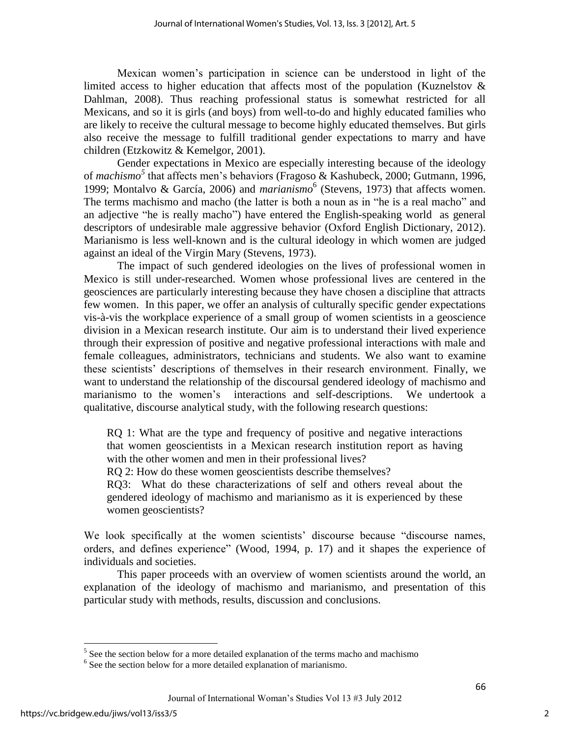Mexican women's participation in science can be understood in light of the limited access to higher education that affects most of the population (Kuznelstov  $\&$ Dahlman, 2008). Thus reaching professional status is somewhat restricted for all Mexicans, and so it is girls (and boys) from well-to-do and highly educated families who are likely to receive the cultural message to become highly educated themselves. But girls also receive the message to fulfill traditional gender expectations to marry and have children (Etzkowitz & Kemelgor, 2001).

Gender expectations in Mexico are especially interesting because of the ideology of *machismo<sup>5</sup>* that affects men's behaviors (Fragoso & Kashubeck, 2000; Gutmann, 1996, 1999; Montalvo & García, 2006) and *marianismo*<sup>6</sup> (Stevens, 1973) that affects women. The terms machismo and macho (the latter is both a noun as in "he is a real macho" and an adjective "he is really macho") have entered the English-speaking world as general descriptors of undesirable male aggressive behavior (Oxford English Dictionary, 2012). Marianismo is less well-known and is the cultural ideology in which women are judged against an ideal of the Virgin Mary (Stevens, 1973).

The impact of such gendered ideologies on the lives of professional women in Mexico is still under-researched. Women whose professional lives are centered in the geosciences are particularly interesting because they have chosen a discipline that attracts few women. In this paper, we offer an analysis of culturally specific gender expectations vis-à-vis the workplace experience of a small group of women scientists in a geoscience division in a Mexican research institute. Our aim is to understand their lived experience through their expression of positive and negative professional interactions with male and female colleagues, administrators, technicians and students. We also want to examine these scientists' descriptions of themselves in their research environment. Finally, we want to understand the relationship of the discoursal gendered ideology of machismo and marianismo to the women's interactions and self-descriptions. We undertook a qualitative, discourse analytical study, with the following research questions:

RQ 1: What are the type and frequency of positive and negative interactions that women geoscientists in a Mexican research institution report as having with the other women and men in their professional lives?

RQ 2: How do these women geoscientists describe themselves?

RQ3: What do these characterizations of self and others reveal about the gendered ideology of machismo and marianismo as it is experienced by these women geoscientists?

We look specifically at the women scientists' discourse because "discourse names, orders, and defines experience" (Wood, 1994, p. 17) and it shapes the experience of individuals and societies.

This paper proceeds with an overview of women scientists around the world, an explanation of the ideology of machismo and marianismo, and presentation of this particular study with methods, results, discussion and conclusions.

<sup>&</sup>lt;sup>5</sup> See the section below for a more detailed explanation of the terms macho and machismo

<sup>&</sup>lt;sup>6</sup> See the section below for a more detailed explanation of marianismo.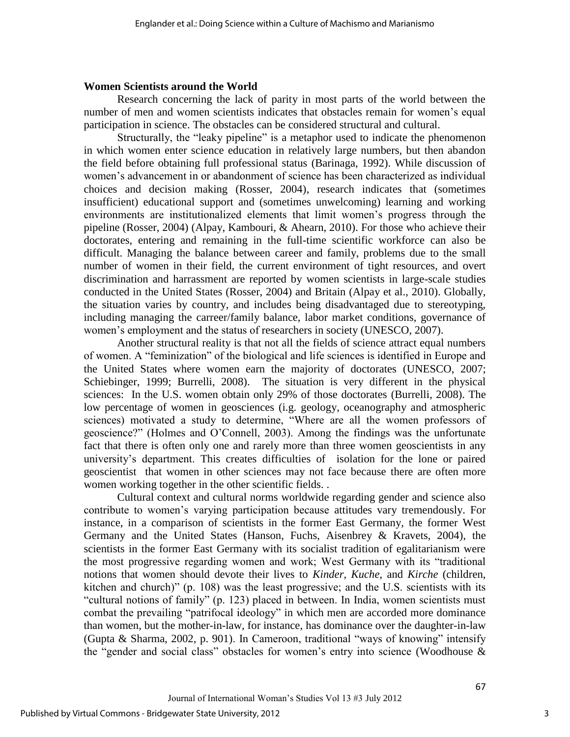#### **Women Scientists around the World**

Research concerning the lack of parity in most parts of the world between the number of men and women scientists indicates that obstacles remain for women's equal participation in science. The obstacles can be considered structural and cultural.

Structurally, the "leaky pipeline" is a metaphor used to indicate the phenomenon in which women enter science education in relatively large numbers, but then abandon the field before obtaining full professional status (Barinaga, 1992). While discussion of women's advancement in or abandonment of science has been characterized as individual choices and decision making (Rosser, 2004), research indicates that (sometimes insufficient) educational support and (sometimes unwelcoming) learning and working environments are institutionalized elements that limit women's progress through the pipeline (Rosser, 2004) (Alpay, Kambouri, & Ahearn, 2010). For those who achieve their doctorates, entering and remaining in the full-time scientific workforce can also be difficult. Managing the balance between career and family, problems due to the small number of women in their field, the current environment of tight resources, and overt discrimination and harrassment are reported by women scientists in large-scale studies conducted in the United States (Rosser, 2004) and Britain (Alpay et al., 2010). Globally, the situation varies by country, and includes being disadvantaged due to stereotyping, including managing the carreer/family balance, labor market conditions, governance of women's employment and the status of researchers in society (UNESCO, 2007).

Another structural reality is that not all the fields of science attract equal numbers of women. A "feminization" of the biological and life sciences is identified in Europe and the United States where women earn the majority of doctorates (UNESCO, 2007; Schiebinger, 1999; Burrelli, 2008). The situation is very different in the physical sciences: In the U.S. women obtain only 29% of those doctorates (Burrelli, 2008). The low percentage of women in geosciences (i.g. geology, oceanography and atmospheric sciences) motivated a study to determine, "Where are all the women professors of geoscience?‖ (Holmes and O'Connell, 2003). Among the findings was the unfortunate fact that there is often only one and rarely more than three women geoscientists in any university's department. This creates difficulties of isolation for the lone or paired geoscientist that women in other sciences may not face because there are often more women working together in the other scientific fields. .

Cultural context and cultural norms worldwide regarding gender and science also contribute to women's varying participation because attitudes vary tremendously. For instance, in a comparison of scientists in the former East Germany, the former West Germany and the United States (Hanson, Fuchs, Aisenbrey & Kravets, 2004), the scientists in the former East Germany with its socialist tradition of egalitarianism were the most progressive regarding women and work; West Germany with its "traditional notions that women should devote their lives to *Kinder, Kuche*, and *Kirche* (children, kitchen and church)" (p. 108) was the least progressive; and the U.S. scientists with its "cultural notions of family" (p. 123) placed in between. In India, women scientists must combat the prevailing "patrifocal ideology" in which men are accorded more dominance than women, but the mother-in-law, for instance, has dominance over the daughter-in-law (Gupta & Sharma, 2002, p. 901). In Cameroon, traditional "ways of knowing" intensify the "gender and social class" obstacles for women's entry into science (Woodhouse  $\&$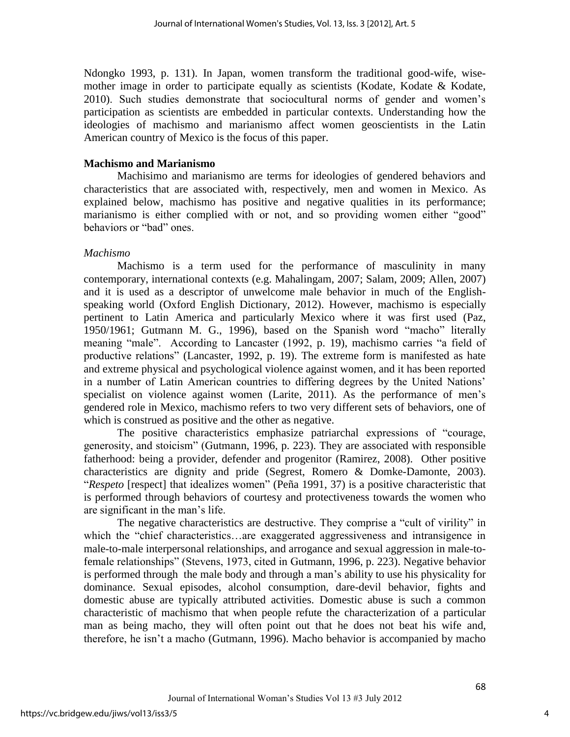Ndongko 1993, p. 131). In Japan, women transform the traditional good-wife, wisemother image in order to participate equally as scientists (Kodate, Kodate & Kodate, 2010). Such studies demonstrate that sociocultural norms of gender and women's participation as scientists are embedded in particular contexts. Understanding how the ideologies of machismo and marianismo affect women geoscientists in the Latin American country of Mexico is the focus of this paper.

#### **Machismo and Marianismo**

Machisimo and marianismo are terms for ideologies of gendered behaviors and characteristics that are associated with, respectively, men and women in Mexico. As explained below, machismo has positive and negative qualities in its performance; marianismo is either complied with or not, and so providing women either "good" behaviors or "bad" ones.

#### *Machismo*

Machismo is a term used for the performance of masculinity in many contemporary, international contexts (e.g. Mahalingam, 2007; Salam, 2009; Allen, 2007) and it is used as a descriptor of unwelcome male behavior in much of the Englishspeaking world (Oxford English Dictionary, 2012). However, machismo is especially pertinent to Latin America and particularly Mexico where it was first used (Paz, 1950/1961; Gutmann M. G., 1996), based on the Spanish word "macho" literally meaning "male". According to Lancaster (1992, p. 19), machismo carries "a field of productive relations" (Lancaster, 1992, p. 19). The extreme form is manifested as hate and extreme physical and psychological violence against women, and it has been reported in a number of Latin American countries to differing degrees by the United Nations' specialist on violence against women (Larite, 2011). As the performance of men's gendered role in Mexico, machismo refers to two very different sets of behaviors, one of which is construed as positive and the other as negative.

The positive characteristics emphasize patriarchal expressions of "courage, generosity, and stoicism" (Gutmann, 1996, p. 223). They are associated with responsible fatherhood: being a provider, defender and progenitor (Ramirez, 2008). Other positive characteristics are dignity and pride (Segrest, Romero & Domke-Damonte, 2003). "Respeto [respect] that idealizes women" (Peña 1991, 37) is a positive characteristic that is performed through behaviors of courtesy and protectiveness towards the women who are significant in the man's life.

The negative characteristics are destructive. They comprise a "cult of virility" in which the "chief characteristics...are exaggerated aggressiveness and intransigence in male-to-male interpersonal relationships, and arrogance and sexual aggression in male-tofemale relationships" (Stevens, 1973, cited in Gutmann, 1996, p. 223). Negative behavior is performed through the male body and through a man's ability to use his physicality for dominance. Sexual episodes, alcohol consumption, dare-devil behavior, fights and domestic abuse are typically attributed activities. Domestic abuse is such a common characteristic of machismo that when people refute the characterization of a particular man as being macho, they will often point out that he does not beat his wife and, therefore, he isn't a macho (Gutmann, 1996). Macho behavior is accompanied by macho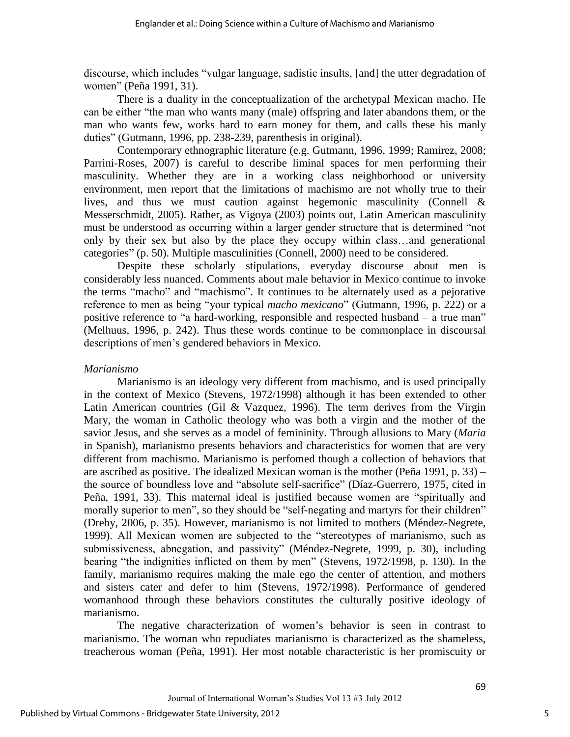discourse, which includes "vulgar language, sadistic insults, [and] the utter degradation of women" (Peña 1991, 31).

 There is a duality in the conceptualization of the archetypal Mexican macho. He can be either "the man who wants many (male) offspring and later abandons them, or the man who wants few, works hard to earn money for them, and calls these his manly duties" (Gutmann, 1996, pp. 238-239, parenthesis in original).

Contemporary ethnographic literature (e.g. Gutmann, 1996, 1999; Ramirez, 2008; Parrini-Roses, 2007) is careful to describe liminal spaces for men performing their masculinity. Whether they are in a working class neighborhood or university environment, men report that the limitations of machismo are not wholly true to their lives, and thus we must caution against hegemonic masculinity (Connell & Messerschmidt, 2005). Rather, as Vigoya (2003) points out, Latin American masculinity must be understood as occurring within a larger gender structure that is determined "not only by their sex but also by the place they occupy within class…and generational categories" (p. 50). Multiple masculinities (Connell, 2000) need to be considered.

Despite these scholarly stipulations, everyday discourse about men is considerably less nuanced. Comments about male behavior in Mexico continue to invoke the terms "macho" and "machismo". It continues to be alternately used as a pejorative reference to men as being "your typical *macho mexicano*" (Gutmann, 1996, p. 222) or a positive reference to "a hard-working, responsible and respected husband – a true man" (Melhuus, 1996, p. 242). Thus these words continue to be commonplace in discoursal descriptions of men's gendered behaviors in Mexico.

# *Marianismo*

Marianismo is an ideology very different from machismo, and is used principally in the context of Mexico (Stevens, 1972/1998) although it has been extended to other Latin American countries (Gil & Vazquez, 1996). The term derives from the Virgin Mary, the woman in Catholic theology who was both a virgin and the mother of the savior Jesus, and she serves as a model of femininity. Through allusions to Mary (*Maria* in Spanish), marianismo presents behaviors and characteristics for women that are very different from machismo. Marianismo is perfomed though a collection of behaviors that are ascribed as positive. The idealized Mexican woman is the mother (Peña 1991, p. 33) – the source of boundless love and "absolute self-sacrifice" (Díaz-Guerrero, 1975, cited in Peña, 1991, 33). This maternal ideal is justified because women are "spiritually and morally superior to men", so they should be "self-negating and martyrs for their children" (Dreby, 2006, p. 35). However, marianismo is not limited to mothers (Méndez-Negrete, 1999). All Mexican women are subjected to the "stereotypes of marianismo, such as submissiveness, abnegation, and passivity" (Méndez-Negrete, 1999, p. 30), including bearing "the indignities inflicted on them by men" (Stevens, 1972/1998, p. 130). In the family, marianismo requires making the male ego the center of attention, and mothers and sisters cater and defer to him (Stevens, 1972/1998). Performance of gendered womanhood through these behaviors constitutes the culturally positive ideology of marianismo.

The negative characterization of women's behavior is seen in contrast to marianismo. The woman who repudiates marianismo is characterized as the shameless, treacherous woman (Peña, 1991). Her most notable characteristic is her promiscuity or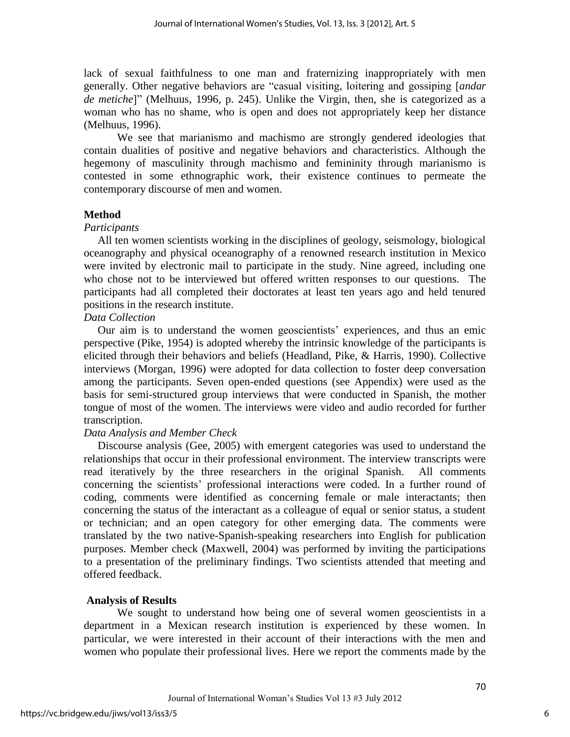lack of sexual faithfulness to one man and fraternizing inappropriately with men generally. Other negative behaviors are "casual visiting, loitering and gossiping [*andar de metiche*]‖ (Melhuus, 1996, p. 245). Unlike the Virgin, then, she is categorized as a woman who has no shame, who is open and does not appropriately keep her distance (Melhuus, 1996).

We see that marianismo and machismo are strongly gendered ideologies that contain dualities of positive and negative behaviors and characteristics. Although the hegemony of masculinity through machismo and femininity through marianismo is contested in some ethnographic work, their existence continues to permeate the contemporary discourse of men and women.

# **Method**

## *Participants*

 All ten women scientists working in the disciplines of geology, seismology, biological oceanography and physical oceanography of a renowned research institution in Mexico were invited by electronic mail to participate in the study. Nine agreed, including one who chose not to be interviewed but offered written responses to our questions. The participants had all completed their doctorates at least ten years ago and held tenured positions in the research institute.

## *Data Collection*

 Our aim is to understand the women geoscientists' experiences, and thus an emic perspective (Pike, 1954) is adopted whereby the intrinsic knowledge of the participants is elicited through their behaviors and beliefs (Headland, Pike, & Harris, 1990). Collective interviews (Morgan, 1996) were adopted for data collection to foster deep conversation among the participants. Seven open-ended questions (see Appendix) were used as the basis for semi-structured group interviews that were conducted in Spanish, the mother tongue of most of the women. The interviews were video and audio recorded for further transcription.

## *Data Analysis and Member Check*

 Discourse analysis (Gee, 2005) with emergent categories was used to understand the relationships that occur in their professional environment. The interview transcripts were read iteratively by the three researchers in the original Spanish. All comments concerning the scientists' professional interactions were coded. In a further round of coding, comments were identified as concerning female or male interactants; then concerning the status of the interactant as a colleague of equal or senior status, a student or technician; and an open category for other emerging data. The comments were translated by the two native-Spanish-speaking researchers into English for publication purposes. Member check (Maxwell, 2004) was performed by inviting the participations to a presentation of the preliminary findings. Two scientists attended that meeting and offered feedback.

## **Analysis of Results**

We sought to understand how being one of several women geoscientists in a department in a Mexican research institution is experienced by these women. In particular, we were interested in their account of their interactions with the men and women who populate their professional lives. Here we report the comments made by the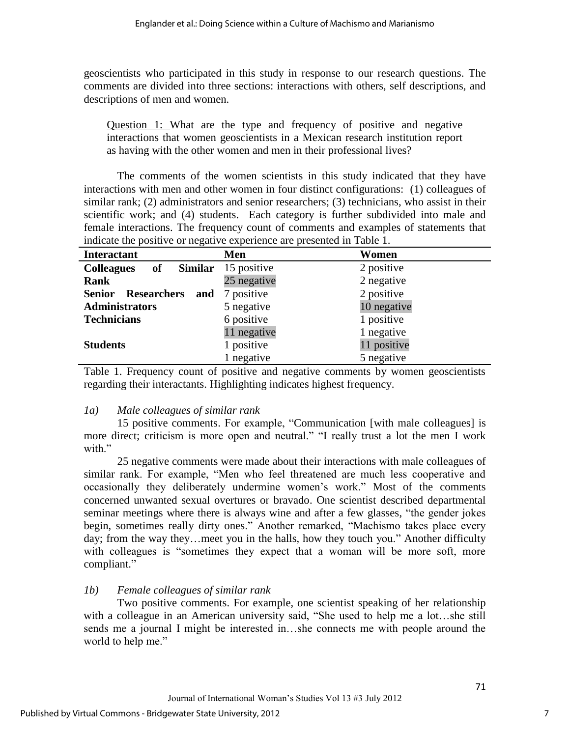geoscientists who participated in this study in response to our research questions. The comments are divided into three sections: interactions with others, self descriptions, and descriptions of men and women.

Question 1: What are the type and frequency of positive and negative interactions that women geoscientists in a Mexican research institution report as having with the other women and men in their professional lives?

The comments of the women scientists in this study indicated that they have interactions with men and other women in four distinct configurations: (1) colleagues of similar rank; (2) administrators and senior researchers; (3) technicians, who assist in their scientific work; and (4) students. Each category is further subdivided into male and female interactions. The frequency count of comments and examples of statements that indicate the positive or negative experience are presented in Table 1.

| <b>Interactant</b>                         | Men                        | Women       |
|--------------------------------------------|----------------------------|-------------|
| <b>Colleagues</b><br>of                    | <b>Similar</b> 15 positive | 2 positive  |
| Rank                                       | 25 negative                | 2 negative  |
| <b>Researchers</b><br><b>Senior</b><br>and | 7 positive                 | 2 positive  |
| <b>Administrators</b>                      | 5 negative                 | 10 negative |
| <b>Technicians</b>                         | 6 positive                 | 1 positive  |
|                                            | 11 negative                | 1 negative  |
| <b>Students</b>                            | 1 positive                 | 11 positive |
|                                            | negative                   | 5 negative  |

Table 1. Frequency count of positive and negative comments by women geoscientists regarding their interactants. Highlighting indicates highest frequency.

# *1a) Male colleagues of similar rank*

15 positive comments. For example, "Communication [with male colleagues] is more direct; criticism is more open and neutral." "I really trust a lot the men I work with."

25 negative comments were made about their interactions with male colleagues of similar rank. For example, "Men who feel threatened are much less cooperative and occasionally they deliberately undermine women's work." Most of the comments concerned unwanted sexual overtures or bravado. One scientist described departmental seminar meetings where there is always wine and after a few glasses, "the gender jokes" begin, sometimes really dirty ones." Another remarked, "Machismo takes place every day; from the way they...meet you in the halls, how they touch you." Another difficulty with colleagues is "sometimes they expect that a woman will be more soft, more compliant."

# *1b) Female colleagues of similar rank*

 Two positive comments. For example, one scientist speaking of her relationship with a colleague in an American university said, "She used to help me a lot...she still sends me a journal I might be interested in…she connects me with people around the world to help me."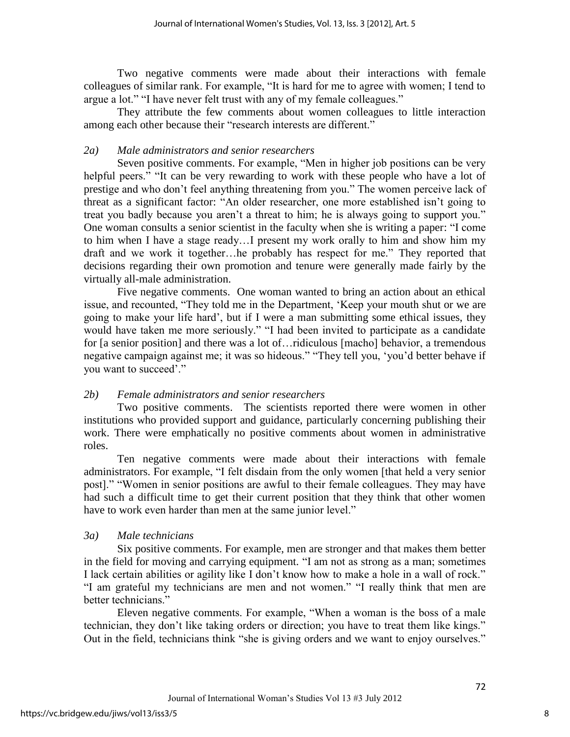Two negative comments were made about their interactions with female colleagues of similar rank. For example, "It is hard for me to agree with women; I tend to argue a lot." "I have never felt trust with any of my female colleagues."

They attribute the few comments about women colleagues to little interaction among each other because their "research interests are different."

# *2a) Male administrators and senior researchers*

Seven positive comments. For example, "Men in higher job positions can be very helpful peers." "It can be very rewarding to work with these people who have a lot of prestige and who don't feel anything threatening from you." The women perceive lack of threat as a significant factor: "An older researcher, one more established isn't going to treat you badly because you aren't a threat to him; he is always going to support you." One woman consults a senior scientist in the faculty when she is writing a paper: "I come to him when I have a stage ready…I present my work orally to him and show him my draft and we work it together...he probably has respect for me." They reported that decisions regarding their own promotion and tenure were generally made fairly by the virtually all-male administration.

 Five negative comments. One woman wanted to bring an action about an ethical issue, and recounted, "They told me in the Department, 'Keep your mouth shut or we are going to make your life hard', but if I were a man submitting some ethical issues, they would have taken me more seriously." "I had been invited to participate as a candidate for [a senior position] and there was a lot of…ridiculous [macho] behavior, a tremendous negative campaign against me; it was so hideous." "They tell you, 'you'd better behave if you want to succeed'."

# *2b) Female administrators and senior researchers*

 Two positive comments. The scientists reported there were women in other institutions who provided support and guidance, particularly concerning publishing their work. There were emphatically no positive comments about women in administrative roles.

 Ten negative comments were made about their interactions with female administrators. For example, "I felt disdain from the only women [that held a very senior post]." "Women in senior positions are awful to their female colleagues. They may have had such a difficult time to get their current position that they think that other women have to work even harder than men at the same junior level."

## *3a) Male technicians*

 Six positive comments. For example, men are stronger and that makes them better in the field for moving and carrying equipment. "I am not as strong as a man; sometimes I lack certain abilities or agility like I don't know how to make a hole in a wall of rock." "I am grateful my technicians are men and not women." "I really think that men are better technicians."

Eleven negative comments. For example, "When a woman is the boss of a male technician, they don't like taking orders or direction; you have to treat them like kings." Out in the field, technicians think "she is giving orders and we want to enjoy ourselves."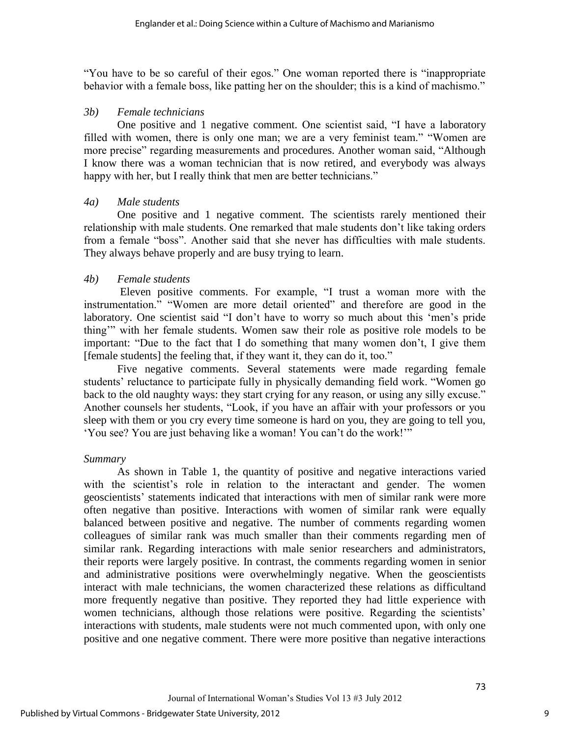"You have to be so careful of their egos." One woman reported there is "inappropriate" behavior with a female boss, like patting her on the shoulder; this is a kind of machismo."

## *3b) Female technicians*

One positive and 1 negative comment. One scientist said, "I have a laboratory filled with women, there is only one man; we are a very feminist team." "Women are more precise" regarding measurements and procedures. Another woman said, "Although I know there was a woman technician that is now retired, and everybody was always happy with her, but I really think that men are better technicians."

## *4a) Male students*

One positive and 1 negative comment. The scientists rarely mentioned their relationship with male students. One remarked that male students don't like taking orders from a female "boss". Another said that she never has difficulties with male students. They always behave properly and are busy trying to learn.

# *4b) Female students*

Eleven positive comments. For example, "I trust a woman more with the instrumentation." "Women are more detail oriented" and therefore are good in the laboratory. One scientist said "I don't have to worry so much about this 'men's pride thing" with her female students. Women saw their role as positive role models to be important: "Due to the fact that I do something that many women don't, I give them [female students] the feeling that, if they want it, they can do it, too."

Five negative comments. Several statements were made regarding female students' reluctance to participate fully in physically demanding field work. "Women go back to the old naughty ways: they start crying for any reason, or using any silly excuse." Another counsels her students, "Look, if you have an affair with your professors or you sleep with them or you cry every time someone is hard on you, they are going to tell you, ‗You see? You are just behaving like a woman! You can't do the work!'‖

## *Summary*

 As shown in Table 1, the quantity of positive and negative interactions varied with the scientist's role in relation to the interactant and gender. The women geoscientists' statements indicated that interactions with men of similar rank were more often negative than positive. Interactions with women of similar rank were equally balanced between positive and negative. The number of comments regarding women colleagues of similar rank was much smaller than their comments regarding men of similar rank. Regarding interactions with male senior researchers and administrators, their reports were largely positive. In contrast, the comments regarding women in senior and administrative positions were overwhelmingly negative. When the geoscientists interact with male technicians, the women characterized these relations as difficultand more frequently negative than positive. They reported they had little experience with women technicians, although those relations were positive. Regarding the scientists' interactions with students, male students were not much commented upon, with only one positive and one negative comment. There were more positive than negative interactions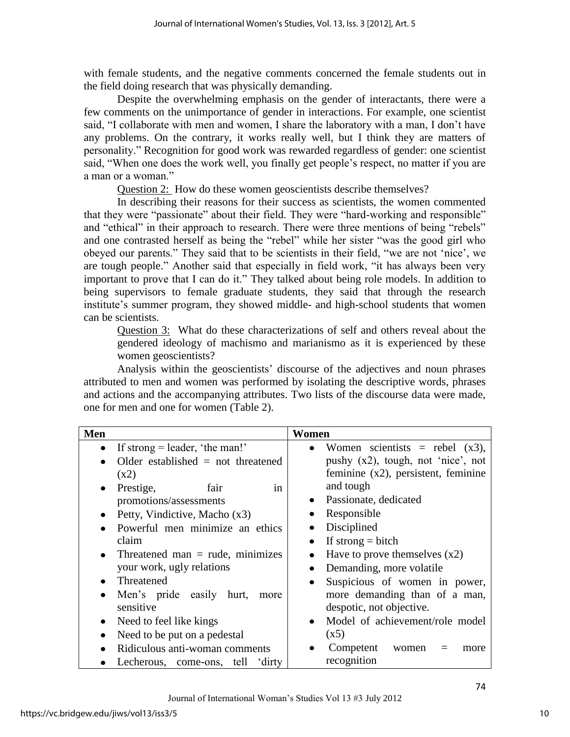with female students, and the negative comments concerned the female students out in the field doing research that was physically demanding.

 Despite the overwhelming emphasis on the gender of interactants, there were a few comments on the unimportance of gender in interactions. For example, one scientist said, "I collaborate with men and women, I share the laboratory with a man, I don't have any problems. On the contrary, it works really well, but I think they are matters of personality.‖ Recognition for good work was rewarded regardless of gender: one scientist said, "When one does the work well, you finally get people's respect, no matter if you are a man or a woman."

Question 2: How do these women geoscientists describe themselves?

 In describing their reasons for their success as scientists, the women commented that they were "passionate" about their field. They were "hard-working and responsible" and "ethical" in their approach to research. There were three mentions of being "rebels" and one contrasted herself as being the "rebel" while her sister "was the good girl who obeyed our parents." They said that to be scientists in their field, "we are not 'nice', we are tough people." Another said that especially in field work, "it has always been very important to prove that I can do it." They talked about being role models. In addition to being supervisors to female graduate students, they said that through the research institute's summer program, they showed middle- and high-school students that women can be scientists.

Question 3: What do these characterizations of self and others reveal about the gendered ideology of machismo and marianismo as it is experienced by these women geoscientists?

Analysis within the geoscientists' discourse of the adjectives and noun phrases attributed to men and women was performed by isolating the descriptive words, phrases and actions and the accompanying attributes. Two lists of the discourse data were made, one for men and one for women (Table 2).

| <b>Men</b> |                                      | Women                                  |
|------------|--------------------------------------|----------------------------------------|
| $\bullet$  | If strong $=$ leader, 'the man!'     | • Women scientists = rebel $(x3)$ ,    |
|            | Older established $=$ not threatened | pushy $(x2)$ , tough, not 'nice', not  |
|            | (x2)                                 | feminine $(x2)$ , persistent, feminine |
| $\bullet$  | Prestige,<br>fair<br>in              | and tough                              |
|            | promotions/assessments               | Passionate, dedicated<br>$\bullet$     |
| $\bullet$  | Petty, Vindictive, Macho (x3)        | Responsible                            |
| $\bullet$  | Powerful men minimize an ethics      | Disciplined                            |
|            | claim                                | If strong $=$ bitch<br>$\bullet$       |
| $\bullet$  | Threatened man $=$ rude, minimizes   | Have to prove themselves $(x2)$<br>٠   |
|            | your work, ugly relations            | Demanding, more volatile<br>$\bullet$  |
| $\bullet$  | Threatened                           | Suspicious of women in power,<br>٠     |
| $\bullet$  | Men's pride easily hurt,<br>more     | more demanding than of a man,          |
|            | sensitive                            | despotic, not objective.               |
| $\bullet$  | Need to feel like kings              | Model of achievement/role model        |
| $\bullet$  | Need to be put on a pedestal         | (x5)                                   |
|            | Ridiculous anti-woman comments       | Competent<br>women<br>more             |
|            | Lecherous, come-ons, tell 'dirty     | recognition                            |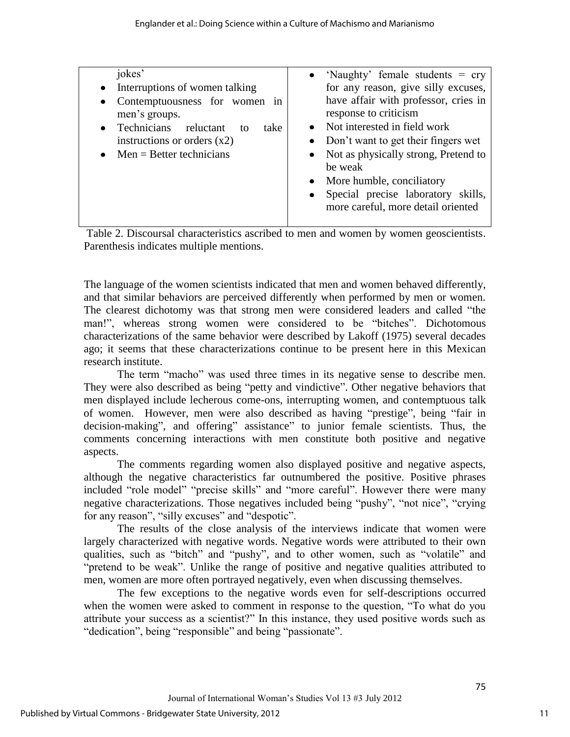| jokes'<br>• Interruptions of women talking<br>Contemptuousness for women in<br>$\bullet$<br>men's groups.<br>Technicians reluctant<br>take<br>to<br>instructions or orders $(x2)$<br>$\bullet$ Men = Better technicians | • 'Naughty' female students $=$ cry<br>for any reason, give silly excuses,<br>have affair with professor, cries in<br>response to criticism<br>Not interested in field work<br>• Don't want to get their fingers wet<br>• Not as physically strong, Pretend to<br>be weak<br>• More humble, conciliatory<br>Special precise laboratory skills,<br>more careful, more detail oriented |
|-------------------------------------------------------------------------------------------------------------------------------------------------------------------------------------------------------------------------|--------------------------------------------------------------------------------------------------------------------------------------------------------------------------------------------------------------------------------------------------------------------------------------------------------------------------------------------------------------------------------------|
|-------------------------------------------------------------------------------------------------------------------------------------------------------------------------------------------------------------------------|--------------------------------------------------------------------------------------------------------------------------------------------------------------------------------------------------------------------------------------------------------------------------------------------------------------------------------------------------------------------------------------|

Table 2. Discoursal characteristics ascribed to men and women by women geoscientists. Parenthesis indicates multiple mentions.

The language of the women scientists indicated that men and women behaved differently, and that similar behaviors are perceived differently when performed by men or women. The clearest dichotomy was that strong men were considered leaders and called "the man!", whereas strong women were considered to be "bitches". Dichotomous characterizations of the same behavior were described by Lakoff (1975) several decades ago; it seems that these characterizations continue to be present here in this Mexican research institute.

The term "macho" was used three times in its negative sense to describe men. They were also described as being "petty and vindictive". Other negative behaviors that men displayed include lecherous come-ons, interrupting women, and contemptuous talk of women. However, men were also described as having "prestige", being "fair in decision-making", and offering" assistance" to junior female scientists. Thus, the comments concerning interactions with men constitute both positive and negative aspects.

 The comments regarding women also displayed positive and negative aspects, although the negative characteristics far outnumbered the positive. Positive phrases included "role model" "precise skills" and "more careful". However there were many negative characterizations. Those negatives included being "pushy", "not nice", "crying for any reason", "silly excuses" and "despotic".

 The results of the close analysis of the interviews indicate that women were largely characterized with negative words. Negative words were attributed to their own qualities, such as "bitch" and "pushy", and to other women, such as "volatile" and "pretend to be weak". Unlike the range of positive and negative qualities attributed to men, women are more often portrayed negatively, even when discussing themselves.

The few exceptions to the negative words even for self-descriptions occurred when the women were asked to comment in response to the question, "To what do you attribute your success as a scientist?" In this instance, they used positive words such as "dedication", being "responsible" and being "passionate".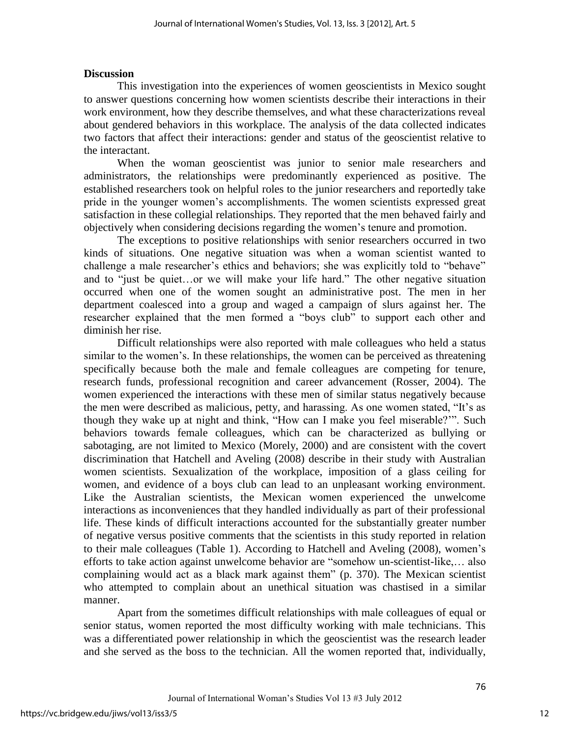## **Discussion**

This investigation into the experiences of women geoscientists in Mexico sought to answer questions concerning how women scientists describe their interactions in their work environment, how they describe themselves, and what these characterizations reveal about gendered behaviors in this workplace. The analysis of the data collected indicates two factors that affect their interactions: gender and status of the geoscientist relative to the interactant.

When the woman geoscientist was junior to senior male researchers and administrators, the relationships were predominantly experienced as positive. The established researchers took on helpful roles to the junior researchers and reportedly take pride in the younger women's accomplishments. The women scientists expressed great satisfaction in these collegial relationships. They reported that the men behaved fairly and objectively when considering decisions regarding the women's tenure and promotion.

The exceptions to positive relationships with senior researchers occurred in two kinds of situations. One negative situation was when a woman scientist wanted to challenge a male researcher's ethics and behaviors; she was explicitly told to "behave" and to "just be quiet...or we will make your life hard." The other negative situation occurred when one of the women sought an administrative post. The men in her department coalesced into a group and waged a campaign of slurs against her. The researcher explained that the men formed a "boys club" to support each other and diminish her rise.

Difficult relationships were also reported with male colleagues who held a status similar to the women's. In these relationships, the women can be perceived as threatening specifically because both the male and female colleagues are competing for tenure, research funds, professional recognition and career advancement (Rosser, 2004). The women experienced the interactions with these men of similar status negatively because the men were described as malicious, petty, and harassing. As one women stated, "It's as though they wake up at night and think, "How can I make you feel miserable?"". Such behaviors towards female colleagues, which can be characterized as bullying or sabotaging, are not limited to Mexico (Morely, 2000) and are consistent with the covert discrimination that Hatchell and Aveling (2008) describe in their study with Australian women scientists. Sexualization of the workplace, imposition of a glass ceiling for women, and evidence of a boys club can lead to an unpleasant working environment. Like the Australian scientists, the Mexican women experienced the unwelcome interactions as inconveniences that they handled individually as part of their professional life. These kinds of difficult interactions accounted for the substantially greater number of negative versus positive comments that the scientists in this study reported in relation to their male colleagues (Table 1). According to Hatchell and Aveling (2008), women's efforts to take action against unwelcome behavior are "somehow un-scientist-like,... also complaining would act as a black mark against them" (p. 370). The Mexican scientist who attempted to complain about an unethical situation was chastised in a similar manner.

 Apart from the sometimes difficult relationships with male colleagues of equal or senior status, women reported the most difficulty working with male technicians. This was a differentiated power relationship in which the geoscientist was the research leader and she served as the boss to the technician. All the women reported that, individually,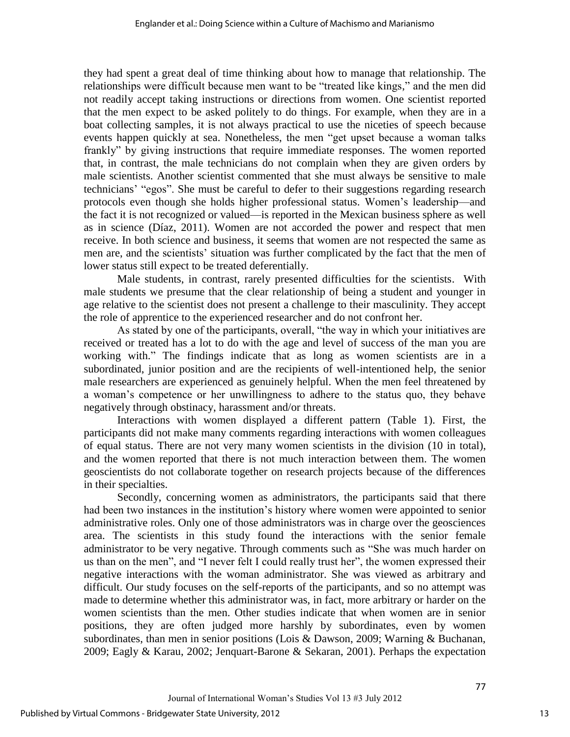they had spent a great deal of time thinking about how to manage that relationship. The relationships were difficult because men want to be "treated like kings," and the men did not readily accept taking instructions or directions from women. One scientist reported that the men expect to be asked politely to do things. For example, when they are in a boat collecting samples, it is not always practical to use the niceties of speech because events happen quickly at sea. Nonetheless, the men "get upset because a woman talks frankly" by giving instructions that require immediate responses. The women reported that, in contrast, the male technicians do not complain when they are given orders by male scientists. Another scientist commented that she must always be sensitive to male technicians' "egos". She must be careful to defer to their suggestions regarding research protocols even though she holds higher professional status. Women's leadership—and the fact it is not recognized or valued—is reported in the Mexican business sphere as well as in science (Díaz, 2011). Women are not accorded the power and respect that men receive. In both science and business, it seems that women are not respected the same as men are, and the scientists' situation was further complicated by the fact that the men of lower status still expect to be treated deferentially.

 Male students, in contrast, rarely presented difficulties for the scientists. With male students we presume that the clear relationship of being a student and younger in age relative to the scientist does not present a challenge to their masculinity. They accept the role of apprentice to the experienced researcher and do not confront her.

As stated by one of the participants, overall, "the way in which your initiatives are received or treated has a lot to do with the age and level of success of the man you are working with." The findings indicate that as long as women scientists are in a subordinated, junior position and are the recipients of well-intentioned help, the senior male researchers are experienced as genuinely helpful. When the men feel threatened by a woman's competence or her unwillingness to adhere to the status quo, they behave negatively through obstinacy, harassment and/or threats.

Interactions with women displayed a different pattern (Table 1). First, the participants did not make many comments regarding interactions with women colleagues of equal status. There are not very many women scientists in the division (10 in total), and the women reported that there is not much interaction between them. The women geoscientists do not collaborate together on research projects because of the differences in their specialties.

Secondly, concerning women as administrators, the participants said that there had been two instances in the institution's history where women were appointed to senior administrative roles. Only one of those administrators was in charge over the geosciences area. The scientists in this study found the interactions with the senior female administrator to be very negative. Through comments such as "She was much harder on us than on the men", and "I never felt I could really trust her", the women expressed their negative interactions with the woman administrator. She was viewed as arbitrary and difficult. Our study focuses on the self-reports of the participants, and so no attempt was made to determine whether this administrator was, in fact, more arbitrary or harder on the women scientists than the men. Other studies indicate that when women are in senior positions, they are often judged more harshly by subordinates, even by women subordinates, than men in senior positions (Lois & Dawson, 2009; Warning & Buchanan, 2009; Eagly & Karau, 2002; Jenquart-Barone & Sekaran, 2001). Perhaps the expectation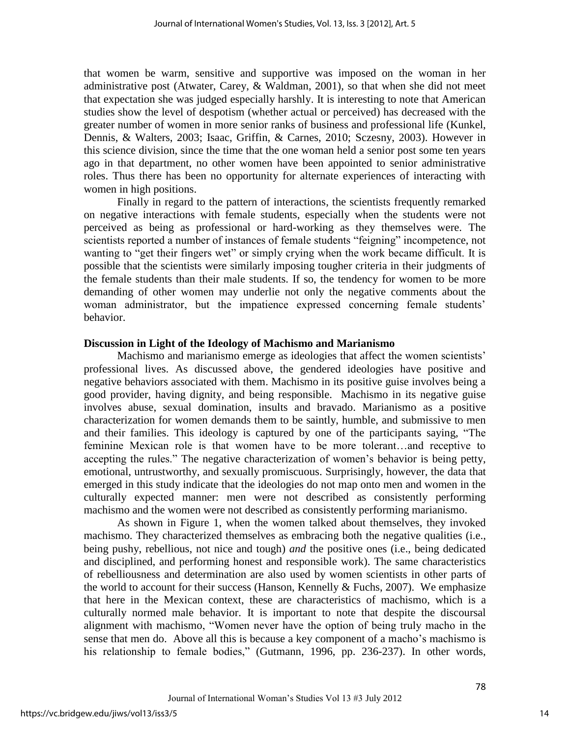that women be warm, sensitive and supportive was imposed on the woman in her administrative post (Atwater, Carey, & Waldman, 2001), so that when she did not meet that expectation she was judged especially harshly. It is interesting to note that American studies show the level of despotism (whether actual or perceived) has decreased with the greater number of women in more senior ranks of business and professional life (Kunkel, Dennis, & Walters, 2003; Isaac, Griffin, & Carnes, 2010; Sczesny, 2003). However in this science division, since the time that the one woman held a senior post some ten years ago in that department, no other women have been appointed to senior administrative roles. Thus there has been no opportunity for alternate experiences of interacting with women in high positions.

Finally in regard to the pattern of interactions, the scientists frequently remarked on negative interactions with female students, especially when the students were not perceived as being as professional or hard-working as they themselves were. The scientists reported a number of instances of female students "feigning" incompetence, not wanting to "get their fingers wet" or simply crying when the work became difficult. It is possible that the scientists were similarly imposing tougher criteria in their judgments of the female students than their male students. If so, the tendency for women to be more demanding of other women may underlie not only the negative comments about the woman administrator, but the impatience expressed concerning female students' behavior.

#### **Discussion in Light of the Ideology of Machismo and Marianismo**

 Machismo and marianismo emerge as ideologies that affect the women scientists' professional lives. As discussed above, the gendered ideologies have positive and negative behaviors associated with them. Machismo in its positive guise involves being a good provider, having dignity, and being responsible. Machismo in its negative guise involves abuse, sexual domination, insults and bravado. Marianismo as a positive characterization for women demands them to be saintly, humble, and submissive to men and their families. This ideology is captured by one of the participants saying, "The feminine Mexican role is that women have to be more tolerant…and receptive to accepting the rules." The negative characterization of women's behavior is being petty, emotional, untrustworthy, and sexually promiscuous. Surprisingly, however, the data that emerged in this study indicate that the ideologies do not map onto men and women in the culturally expected manner: men were not described as consistently performing machismo and the women were not described as consistently performing marianismo.

 As shown in Figure 1, when the women talked about themselves, they invoked machismo. They characterized themselves as embracing both the negative qualities (i.e., being pushy, rebellious, not nice and tough) *and* the positive ones (i.e., being dedicated and disciplined, and performing honest and responsible work). The same characteristics of rebelliousness and determination are also used by women scientists in other parts of the world to account for their success (Hanson, Kennelly & Fuchs, 2007). We emphasize that here in the Mexican context, these are characteristics of machismo, which is a culturally normed male behavior. It is important to note that despite the discoursal alignment with machismo, "Women never have the option of being truly macho in the sense that men do. Above all this is because a key component of a macho's machismo is his relationship to female bodies," (Gutmann, 1996, pp. 236-237). In other words,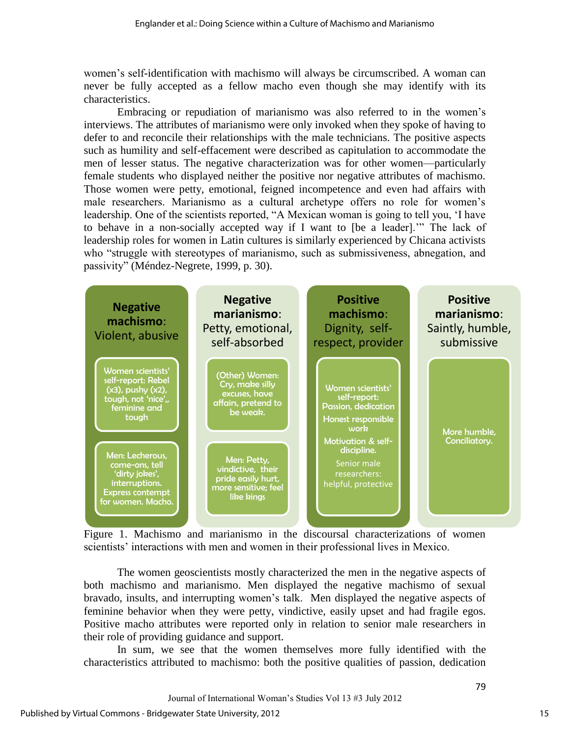women's self-identification with machismo will always be circumscribed. A woman can never be fully accepted as a fellow macho even though she may identify with its characteristics.

 Embracing or repudiation of marianismo was also referred to in the women's interviews. The attributes of marianismo were only invoked when they spoke of having to defer to and reconcile their relationships with the male technicians. The positive aspects such as humility and self-effacement were described as capitulation to accommodate the men of lesser status. The negative characterization was for other women—particularly female students who displayed neither the positive nor negative attributes of machismo. Those women were petty, emotional, feigned incompetence and even had affairs with male researchers. Marianismo as a cultural archetype offers no role for women's leadership. One of the scientists reported, "A Mexican woman is going to tell you, 'I have to behave in a non-socially accepted way if I want to [be a leader]." The lack of leadership roles for women in Latin cultures is similarly experienced by Chicana activists who "struggle with stereotypes of marianismo, such as submissiveness, abnegation, and passivity" (Méndez-Negrete, 1999, p. 30).



Figure 1. Machismo and marianismo in the discoursal characterizations of women scientists' interactions with men and women in their professional lives in Mexico.

The women geoscientists mostly characterized the men in the negative aspects of both machismo and marianismo. Men displayed the negative machismo of sexual bravado, insults, and interrupting women's talk. Men displayed the negative aspects of feminine behavior when they were petty, vindictive, easily upset and had fragile egos. Positive macho attributes were reported only in relation to senior male researchers in their role of providing guidance and support.

In sum, we see that the women themselves more fully identified with the characteristics attributed to machismo: both the positive qualities of passion, dedication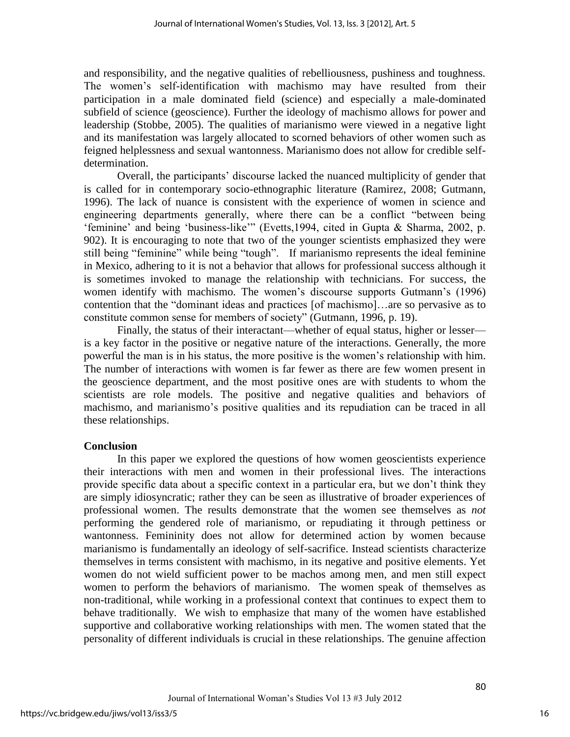and responsibility, and the negative qualities of rebelliousness, pushiness and toughness. The women's self-identification with machismo may have resulted from their participation in a male dominated field (science) and especially a male-dominated subfield of science (geoscience). Further the ideology of machismo allows for power and leadership (Stobbe, 2005). The qualities of marianismo were viewed in a negative light and its manifestation was largely allocated to scorned behaviors of other women such as feigned helplessness and sexual wantonness. Marianismo does not allow for credible selfdetermination.

Overall, the participants' discourse lacked the nuanced multiplicity of gender that is called for in contemporary socio-ethnographic literature (Ramirez, 2008; Gutmann, 1996). The lack of nuance is consistent with the experience of women in science and engineering departments generally, where there can be a conflict "between being ‗feminine' and being ‗business-like'‖ (Evetts,1994, cited in Gupta & Sharma, 2002, p. 902). It is encouraging to note that two of the younger scientists emphasized they were still being "feminine" while being "tough". If marianismo represents the ideal feminine in Mexico, adhering to it is not a behavior that allows for professional success although it is sometimes invoked to manage the relationship with technicians. For success, the women identify with machismo. The women's discourse supports Gutmann's (1996) contention that the "dominant ideas and practices [of machismo]...are so pervasive as to constitute common sense for members of society" (Gutmann, 1996, p. 19).

Finally, the status of their interactant—whether of equal status, higher or lesser is a key factor in the positive or negative nature of the interactions. Generally, the more powerful the man is in his status, the more positive is the women's relationship with him. The number of interactions with women is far fewer as there are few women present in the geoscience department, and the most positive ones are with students to whom the scientists are role models. The positive and negative qualities and behaviors of machismo, and marianismo's positive qualities and its repudiation can be traced in all these relationships.

# **Conclusion**

In this paper we explored the questions of how women geoscientists experience their interactions with men and women in their professional lives. The interactions provide specific data about a specific context in a particular era, but we don't think they are simply idiosyncratic; rather they can be seen as illustrative of broader experiences of professional women. The results demonstrate that the women see themselves as *not* performing the gendered role of marianismo, or repudiating it through pettiness or wantonness. Femininity does not allow for determined action by women because marianismo is fundamentally an ideology of self-sacrifice. Instead scientists characterize themselves in terms consistent with machismo, in its negative and positive elements. Yet women do not wield sufficient power to be machos among men, and men still expect women to perform the behaviors of marianismo. The women speak of themselves as non-traditional, while working in a professional context that continues to expect them to behave traditionally. We wish to emphasize that many of the women have established supportive and collaborative working relationships with men. The women stated that the personality of different individuals is crucial in these relationships. The genuine affection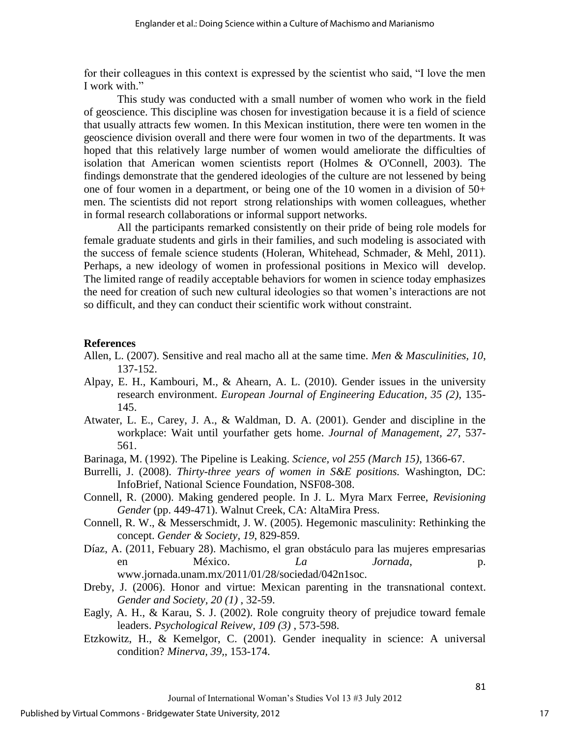for their colleagues in this context is expressed by the scientist who said, "I love the men I work with."

This study was conducted with a small number of women who work in the field of geoscience. This discipline was chosen for investigation because it is a field of science that usually attracts few women. In this Mexican institution, there were ten women in the geoscience division overall and there were four women in two of the departments. It was hoped that this relatively large number of women would ameliorate the difficulties of isolation that American women scientists report (Holmes & O'Connell, 2003). The findings demonstrate that the gendered ideologies of the culture are not lessened by being one of four women in a department, or being one of the 10 women in a division of  $50+$ men. The scientists did not report strong relationships with women colleagues, whether in formal research collaborations or informal support networks.

All the participants remarked consistently on their pride of being role models for female graduate students and girls in their families, and such modeling is associated with the success of female science students (Holeran, Whitehead, Schmader, & Mehl, 2011). Perhaps, a new ideology of women in professional positions in Mexico will develop. The limited range of readily acceptable behaviors for women in science today emphasizes the need for creation of such new cultural ideologies so that women's interactions are not so difficult, and they can conduct their scientific work without constraint.

#### **References**

- Allen, L. (2007). Sensitive and real macho all at the same time. *Men & Masculinities, 10*, 137-152.
- Alpay, E. H., Kambouri, M., & Ahearn, A. L. (2010). Gender issues in the university research environment. *European Journal of Engineering Education, 35 (2)*, 135- 145.
- Atwater, L. E., Carey, J. A., & Waldman, D. A. (2001). Gender and discipline in the workplace: Wait until yourfather gets home. *Journal of Management, 27*, 537- 561.
- Barinaga, M. (1992). The Pipeline is Leaking. *Science, vol 255 (March 15)*, 1366-67.
- Burrelli, J. (2008). *Thirty-three years of women in S&E positions.* Washington, DC: InfoBrief, National Science Foundation, NSF08-308.
- Connell, R. (2000). Making gendered people. In J. L. Myra Marx Ferree, *Revisioning Gender* (pp. 449-471). Walnut Creek, CA: AltaMira Press.
- Connell, R. W., & Messerschmidt, J. W. (2005). Hegemonic masculinity: Rethinking the concept. *Gender & Society, 19*, 829-859.
- Díaz, A. (2011, Febuary 28). Machismo, el gran obstáculo para las mujeres empresarias en México. *La Jornada*, p. www.jornada.unam.mx/2011/01/28/sociedad/042n1soc.
- Dreby, J. (2006). Honor and virtue: Mexican parenting in the transnational context. *Gender and Society, 20 (1)* , 32-59.
- Eagly, A. H., & Karau, S. J. (2002). Role congruity theory of prejudice toward female leaders. *Psychological Reivew, 109 (3)* , 573-598.
- Etzkowitz, H., & Kemelgor, C. (2001). Gender inequality in science: A universal condition? *Minerva, 39,*, 153-174.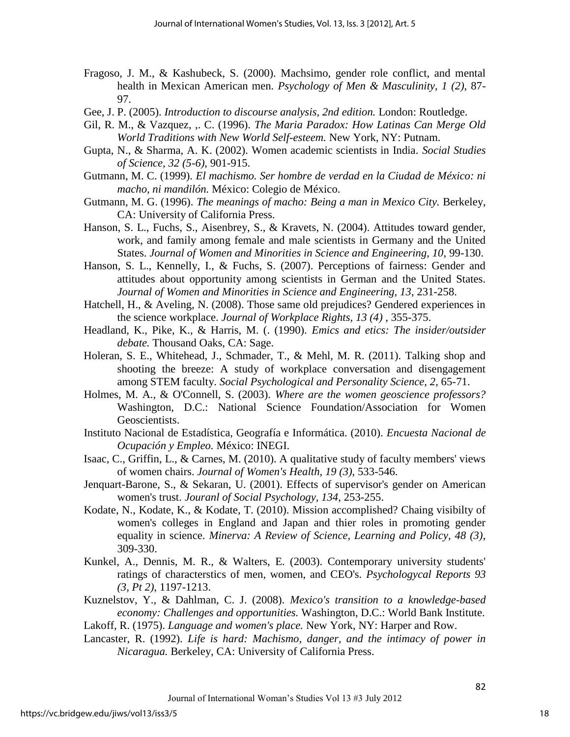- Fragoso, J. M., & Kashubeck, S. (2000). Machsimo, gender role conflict, and mental health in Mexican American men. *Psychology of Men & Masculinity, 1 (2)*, 87- 97.
- Gee, J. P. (2005). *Introduction to discourse analysis, 2nd edition.* London: Routledge.
- Gil, R. M., & Vazquez, ,. C. (1996). *The Maria Paradox: How Latinas Can Merge Old World Traditions with New World Self-esteem.* New York, NY: Putnam.
- Gupta, N., & Sharma, A. K. (2002). Women academic scientists in India. *Social Studies of Science, 32 (5-6)*, 901-915.
- Gutmann, M. C. (1999). *El machismo. Ser hombre de verdad en la Ciudad de México: ni macho, ni mandilón.* México: Colegio de México.
- Gutmann, M. G. (1996). *The meanings of macho: Being a man in Mexico City.* Berkeley, CA: University of California Press.
- Hanson, S. L., Fuchs, S., Aisenbrey, S., & Kravets, N. (2004). Attitudes toward gender, work, and family among female and male scientists in Germany and the United States. *Journal of Women and Minorities in Science and Engineering, 10*, 99-130.
- Hanson, S. L., Kennelly, I., & Fuchs, S. (2007). Perceptions of fairness: Gender and attitudes about opportunity among scientists in German and the United States. *Journal of Women and Minorities in Science and Engineering, 13*, 231-258.
- Hatchell, H., & Aveling, N. (2008). Those same old prejudices? Gendered experiences in the science workplace. *Journal of Workplace Rights, 13 (4)* , 355-375.
- Headland, K., Pike, K., & Harris, M. (. (1990). *Emics and etics: The insider/outsider debate.* Thousand Oaks, CA: Sage.
- Holeran, S. E., Whitehead, J., Schmader, T., & Mehl, M. R. (2011). Talking shop and shooting the breeze: A study of workplace conversation and disengagement among STEM faculty. *Social Psychological and Personality Science, 2*, 65-71.
- Holmes, M. A., & O'Connell, S. (2003). *Where are the women geoscience professors?* Washington, D.C.: National Science Foundation/Association for Women Geoscientists.
- Instituto Nacional de Estadística, Geografía e Informática. (2010). *Encuesta Nacional de Ocupación y Empleo.* México: INEGI.
- Isaac, C., Griffin, L., & Carnes, M. (2010). A qualitative study of faculty members' views of women chairs. *Journal of Women's Health, 19 (3)*, 533-546.
- Jenquart-Barone, S., & Sekaran, U. (2001). Effects of supervisor's gender on American women's trust. *Jouranl of Social Psychology, 134*, 253-255.
- Kodate, N., Kodate, K., & Kodate, T. (2010). Mission accomplished? Chaing visibilty of women's colleges in England and Japan and thier roles in promoting gender equality in science. *Minerva: A Review of Science, Learning and Policy, 48 (3)*, 309-330.
- Kunkel, A., Dennis, M. R., & Walters, E. (2003). Contemporary university students' ratings of characterstics of men, women, and CEO's. *Psychologycal Reports 93 (3, Pt 2)*, 1197-1213.
- Kuznelstov, Y., & Dahlman, C. J. (2008). *Mexico's transition to a knowledge-based economy: Challenges and opportunities.* Washington, D.C.: World Bank Institute.
- Lakoff, R. (1975). *Language and women's place.* New York, NY: Harper and Row.
- Lancaster, R. (1992). *Life is hard: Machismo, danger, and the intimacy of power in Nicaragua.* Berkeley, CA: University of California Press.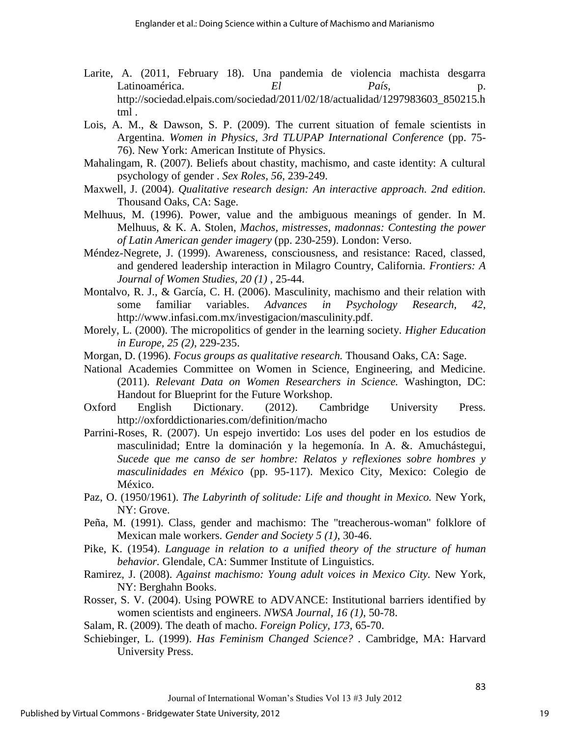- Larite, A. (2011, February 18). Una pandemia de violencia machista desgarra Latinoamérica. *El País*, http://sociedad.elpais.com/sociedad/2011/02/18/actualidad/1297983603\_850215.h tml .
- Lois, A. M., & Dawson, S. P. (2009). The current situation of female scientists in Argentina. *Women in Physics, 3rd TLUPAP International Conference* (pp. 75- 76). New York: American Institute of Physics.
- Mahalingam, R. (2007). Beliefs about chastity, machismo, and caste identity: A cultural psychology of gender . *Sex Roles, 56*, 239-249.
- Maxwell, J. (2004). *Qualitative research design: An interactive approach. 2nd edition.* Thousand Oaks, CA: Sage.
- Melhuus, M. (1996). Power, value and the ambiguous meanings of gender. In M. Melhuus, & K. A. Stolen, *Machos, mistresses, madonnas: Contesting the power of Latin American gender imagery* (pp. 230-259). London: Verso.
- Méndez-Negrete, J. (1999). Awareness, consciousness, and resistance: Raced, classed, and gendered leadership interaction in Milagro Country, California. *Frontiers: A Journal of Women Studies, 20 (1)* , 25-44.
- Montalvo, R. J., & García, C. H. (2006). Masculinity, machismo and their relation with some familiar variables. *Advances in Psychology Research, 42*, http://www.infasi.com.mx/investigacion/masculinity.pdf.
- Morely, L. (2000). The micropolitics of gender in the learning society. *Higher Education in Europe, 25 (2)*, 229-235.
- Morgan, D. (1996). *Focus groups as qualitative research.* Thousand Oaks, CA: Sage.
- National Academies Committee on Women in Science, Engineering, and Medicine. (2011). *Relevant Data on Women Researchers in Science.* Washington, DC: Handout for Blueprint for the Future Workshop.
- Oxford English Dictionary. (2012). Cambridge University Press. http://oxforddictionaries.com/definition/macho
- Parrini-Roses, R. (2007). Un espejo invertido: Los uses del poder en los estudios de masculinidad; Entre la dominación y la hegemonía. In A. &. Amuchástegui, *Sucede que me canso de ser hombre: Relatos y reflexiones sobre hombres y masculinidades en México* (pp. 95-117). Mexico City, Mexico: Colegio de México.
- Paz, O. (1950/1961). *The Labyrinth of solitude: Life and thought in Mexico.* New York, NY: Grove.
- Peña, M. (1991). Class, gender and machismo: The "treacherous-woman" folklore of Mexican male workers. *Gender and Society 5 (1)*, 30-46.
- Pike, K. (1954). *Language in relation to a unified theory of the structure of human behavior.* Glendale, CA: Summer Institute of Linguistics.
- Ramirez, J. (2008). *Against machismo: Young adult voices in Mexico City.* New York, NY: Berghahn Books.
- Rosser, S. V. (2004). Using POWRE to ADVANCE: Institutional barriers identified by women scientists and engineers. *NWSA Journal, 16 (1)*, 50-78.
- Salam, R. (2009). The death of macho. *Foreign Policy, 173*, 65-70.
- Schiebinger, L. (1999). *Has Feminism Changed Science? .* Cambridge, MA: Harvard University Press.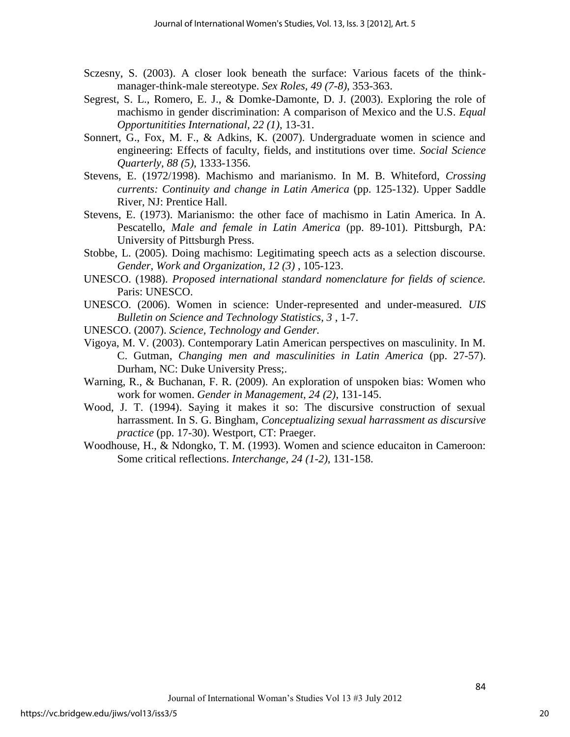- Sczesny, S. (2003). A closer look beneath the surface: Various facets of the thinkmanager-think-male stereotype. *Sex Roles, 49 (7-8)*, 353-363.
- Segrest, S. L., Romero, E. J., & Domke-Damonte, D. J. (2003). Exploring the role of machismo in gender discrimination: A comparison of Mexico and the U.S. *Equal Opportunitities International, 22 (1)*, 13-31.
- Sonnert, G., Fox, M. F., & Adkins, K. (2007). Undergraduate women in science and engineering: Effects of faculty, fields, and institutions over time. *Social Science Quarterly, 88 (5)*, 1333-1356.
- Stevens, E. (1972/1998). Machismo and marianismo. In M. B. Whiteford, *Crossing currents: Continuity and change in Latin America* (pp. 125-132). Upper Saddle River, NJ: Prentice Hall.
- Stevens, E. (1973). Marianismo: the other face of machismo in Latin America. In A. Pescatello, *Male and female in Latin America* (pp. 89-101). Pittsburgh, PA: University of Pittsburgh Press.
- Stobbe, L. (2005). Doing machismo: Legitimating speech acts as a selection discourse. *Gender, Work and Organization, 12 (3)* , 105-123.
- UNESCO. (1988). *Proposed international standard nomenclature for fields of science.* Paris: UNESCO.
- UNESCO. (2006). Women in science: Under-represented and under-measured. *UIS Bulletin on Science and Technology Statistics, 3* , 1-7.
- UNESCO. (2007). *Science, Technology and Gender.*
- Vigoya, M. V. (2003). Contemporary Latin American perspectives on masculinity. In M. C. Gutman, *Changing men and masculinities in Latin America* (pp. 27-57). Durham, NC: Duke University Press;.
- Warning, R., & Buchanan, F. R. (2009). An exploration of unspoken bias: Women who work for women. *Gender in Management, 24 (2)*, 131-145.
- Wood, J. T. (1994). Saying it makes it so: The discursive construction of sexual harrassment. In S. G. Bingham, *Conceptualizing sexual harrassment as discursive practice* (pp. 17-30). Westport, CT: Praeger.
- Woodhouse, H., & Ndongko, T. M. (1993). Women and science educaiton in Cameroon: Some critical reflections. *Interchange, 24 (1-2)*, 131-158.